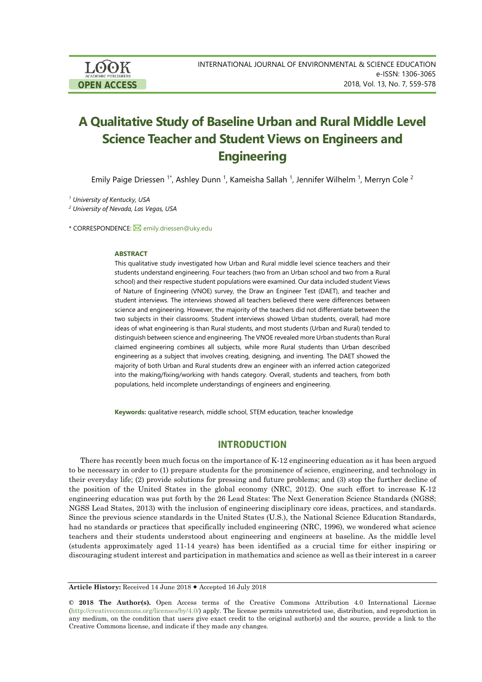LOOK **OPEN ACCESS**

# **A Qualitative Study of Baseline Urban and Rural Middle Level Science Teacher and Student Views on Engineers and Engineering**

Emily Paige Driessen <sup>1\*</sup>, Ashley Dunn <sup>1</sup>, Kameisha Sallah <sup>1</sup>, Jennifer Wilhelm <sup>1</sup>, Merryn Cole <sup>2</sup>

*<sup>1</sup> University of Kentucky, USA*

*<sup>2</sup> University of Nevada, Las Vegas, USA*

\* CORRESPONDENCE: **M**[emily.driessen@uky.edu](mailto:emily.driessen@uky.edu)

#### **ABSTRACT**

This qualitative study investigated how Urban and Rural middle level science teachers and their students understand engineering. Four teachers (two from an Urban school and two from a Rural school) and their respective student populations were examined. Our data included student Views of Nature of Engineering (VNOE) survey, the Draw an Engineer Test (DAET), and teacher and student interviews. The interviews showed all teachers believed there were differences between science and engineering. However, the majority of the teachers did not differentiate between the two subjects in their classrooms. Student interviews showed Urban students, overall, had more ideas of what engineering is than Rural students, and most students (Urban and Rural) tended to distinguish between science and engineering. The VNOE revealed more Urban students than Rural claimed engineering combines all subjects, while more Rural students than Urban described engineering as a subject that involves creating, designing, and inventing. The DAET showed the majority of both Urban and Rural students drew an engineer with an inferred action categorized into the making/fixing/working with hands category. Overall, students and teachers, from both populations, held incomplete understandings of engineers and engineering.

**Keywords:** qualitative research, middle school, STEM education, teacher knowledge

# **INTRODUCTION**

There has recently been much focus on the importance of K-12 engineering education as it has been argued to be necessary in order to (1) prepare students for the prominence of science, engineering, and technology in their everyday life; (2) provide solutions for pressing and future problems; and (3) stop the further decline of the position of the United States in the global economy (NRC, 2012). One such effort to increase K-12 engineering education was put forth by the 26 Lead States: The Next Generation Science Standards (NGSS; NGSS Lead States, 2013) with the inclusion of engineering disciplinary core ideas, practices, and standards. Since the previous science standards in the United States (U.S.), the National Science Education Standards, had no standards or practices that specifically included engineering (NRC, 1996), we wondered what science teachers and their students understood about engineering and engineers at baseline. As the middle level (students approximately aged 11-14 years) has been identified as a crucial time for either inspiring or discouraging student interest and participation in mathematics and science as well as their interest in a career

**Article History:** Received 14 June 2018 Accepted 16 July 2018

**<sup>© 2018</sup> The Author(s).** Open Access terms of the Creative Commons Attribution 4.0 International License [\(http://creativecommons.org/licenses/by/4.0/\)](http://creativecommons.org/licenses/by/4.0/) apply. The license permits unrestricted use, distribution, and reproduction in any medium, on the condition that users give exact credit to the original author(s) and the source, provide a link to the Creative Commons license, and indicate if they made any changes.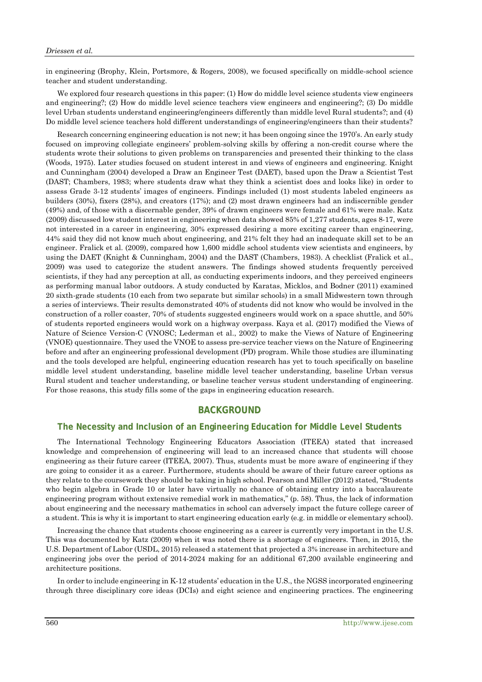in engineering (Brophy, Klein, Portsmore, & Rogers, 2008), we focused specifically on middle-school science teacher and student understanding.

We explored four research questions in this paper: (1) How do middle level science students view engineers and engineering?; (2) How do middle level science teachers view engineers and engineering?; (3) Do middle level Urban students understand engineering/engineers differently than middle level Rural students?; and (4) Do middle level science teachers hold different understandings of engineering/engineers than their students?

Research concerning engineering education is not new; it has been ongoing since the 1970's. An early study focused on improving collegiate engineers' problem-solving skills by offering a non-credit course where the students wrote their solutions to given problems on transparencies and presented their thinking to the class (Woods, 1975). Later studies focused on student interest in and views of engineers and engineering. Knight and Cunningham (2004) developed a Draw an Engineer Test (DAET), based upon the Draw a Scientist Test (DAST; Chambers, 1983; where students draw what they think a scientist does and looks like) in order to assess Grade 3-12 students' images of engineers. Findings included (1) most students labeled engineers as builders (30%), fixers (28%), and creators (17%); and (2) most drawn engineers had an indiscernible gender (49%) and, of those with a discernable gender, 39% of drawn engineers were female and 61% were male. Katz (2009) discussed low student interest in engineering when data showed 85% of 1,277 students, ages 8-17, were not interested in a career in engineering, 30% expressed desiring a more exciting career than engineering, 44% said they did not know much about engineering, and 21% felt they had an inadequate skill set to be an engineer. Fralick et al. (2009), compared how 1,600 middle school students view scientists and engineers, by using the DAET (Knight & Cunningham, 2004) and the DAST (Chambers, 1983). A checklist (Fralick et al., 2009) was used to categorize the student answers. The findings showed students frequently perceived scientists, if they had any perception at all, as conducting experiments indoors, and they perceived engineers as performing manual labor outdoors. A study conducted by Karatas, Micklos, and Bodner (2011) examined 20 sixth-grade students (10 each from two separate but similar schools) in a small Midwestern town through a series of interviews. Their results demonstrated 40% of students did not know who would be involved in the construction of a roller coaster, 70% of students suggested engineers would work on a space shuttle, and 50% of students reported engineers would work on a highway overpass. Kaya et al. (2017) modified the Views of Nature of Science Version-C (VNOSC; Lederman et al., 2002) to make the Views of Nature of Engineering (VNOE) questionnaire. They used the VNOE to assess pre-service teacher views on the Nature of Engineering before and after an engineering professional development (PD) program. While those studies are illuminating and the tools developed are helpful, engineering education research has yet to touch specifically on baseline middle level student understanding, baseline middle level teacher understanding, baseline Urban versus Rural student and teacher understanding, or baseline teacher versus student understanding of engineering. For those reasons, this study fills some of the gaps in engineering education research.

# **BACKGROUND**

#### **The Necessity and Inclusion of an Engineering Education for Middle Level Students**

The International Technology Engineering Educators Association (ITEEA) stated that increased knowledge and comprehension of engineering will lead to an increased chance that students will choose engineering as their future career (ITEEA, 2007). Thus, students must be more aware of engineering if they are going to consider it as a career. Furthermore, students should be aware of their future career options as they relate to the coursework they should be taking in high school. Pearson and Miller (2012) stated, "Students who begin algebra in Grade 10 or later have virtually no chance of obtaining entry into a baccalaureate engineering program without extensive remedial work in mathematics," (p. 58). Thus, the lack of information about engineering and the necessary mathematics in school can adversely impact the future college career of a student. This is why it is important to start engineering education early (e.g. in middle or elementary school).

Increasing the chance that students choose engineering as a career is currently very important in the U.S. This was documented by Katz (2009) when it was noted there is a shortage of engineers. Then, in 2015, the U.S. Department of Labor (USDL, 2015) released a statement that projected a 3% increase in architecture and engineering jobs over the period of 2014-2024 making for an additional 67,200 available engineering and architecture positions.

In order to include engineering in K-12 students' education in the U.S., the NGSS incorporated engineering through three disciplinary core ideas (DCIs) and eight science and engineering practices. The engineering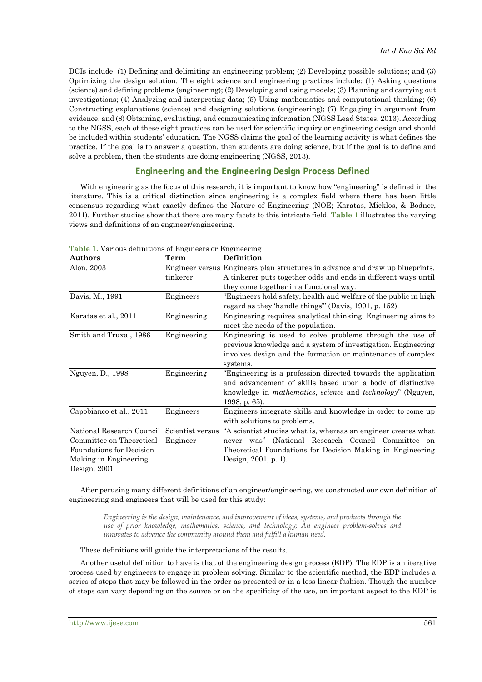DCIs include: (1) Defining and delimiting an engineering problem; (2) Developing possible solutions; and (3) Optimizing the design solution. The eight science and engineering practices include: (1) Asking questions (science) and defining problems (engineering); (2) Developing and using models; (3) Planning and carrying out investigations; (4) Analyzing and interpreting data; (5) Using mathematics and computational thinking; (6) Constructing explanations (science) and designing solutions (engineering); (7) Engaging in argument from evidence; and (8) Obtaining, evaluating, and communicating information (NGSS Lead States, 2013). According to the NGSS, each of these eight practices can be used for scientific inquiry or engineering design and should be included within students' education. The NGSS claims the goal of the learning activity is what defines the practice. If the goal is to answer a question, then students are doing science, but if the goal is to define and solve a problem, then the students are doing engineering (NGSS, 2013).

## **Engineering and the Engineering Design Process Defined**

With engineering as the focus of this research, it is important to know how "engineering" is defined in the literature. This is a critical distinction since engineering is a complex field where there has been little consensus regarding what exactly defines the Nature of Engineering (NOE; Karatas, Micklos, & Bodner, 2011). Further studies show that there are many facets to this intricate field. **Table 1** illustrates the varying views and definitions of an engineer/engineering.

| Authors                                    | Term        | Definition                                                                        |
|--------------------------------------------|-------------|-----------------------------------------------------------------------------------|
| Alon, 2003                                 |             | Engineer versus Engineers plan structures in advance and draw up blueprints.      |
|                                            | tinkerer    | A tinkerer puts together odds and ends in different ways until                    |
|                                            |             | they come together in a functional way.                                           |
| Davis, M., 1991                            | Engineers   | "Engineers hold safety, health and welfare of the public in high                  |
|                                            |             | regard as they 'handle things" (Davis, 1991, p. 152).                             |
| Karatas et al., 2011                       | Engineering | Engineering requires analytical thinking. Engineering aims to                     |
|                                            |             | meet the needs of the population.                                                 |
| Smith and Truxal, 1986                     | Engineering | Engineering is used to solve problems through the use of                          |
|                                            |             | previous knowledge and a system of investigation. Engineering                     |
|                                            |             | involves design and the formation or maintenance of complex                       |
|                                            |             | systems.                                                                          |
| Nguyen, D., 1998                           | Engineering | "Engineering is a profession directed towards the application"                    |
|                                            |             | and advancement of skills based upon a body of distinctive                        |
|                                            |             | knowledge in <i>mathematics</i> , <i>science</i> and <i>technology</i> " (Nguyen, |
|                                            |             | 1998, p. 65).                                                                     |
| Capobianco et al., 2011                    | Engineers   | Engineers integrate skills and knowledge in order to come up                      |
|                                            |             | with solutions to problems.                                                       |
| National Research Council Scientist versus |             | "A scientist studies what is, whereas an engineer creates what                    |
| Committee on Theoretical                   | Engineer    | never was" (National Research Council Committee<br>on                             |
| <b>Foundations for Decision</b>            |             | Theoretical Foundations for Decision Making in Engineering                        |
| Making in Engineering                      |             | Design, 2001, p. 1).                                                              |
| Design, $2001$                             |             |                                                                                   |

**Table 1.** Various definitions of Engineers or Engineering

After perusing many different definitions of an engineer/engineering, we constructed our own definition of engineering and engineers that will be used for this study:

*Engineering is the design, maintenance, and improvement of ideas, systems, and products through the use of prior knowledge, mathematics, science, and technology; An engineer problem-solves and innovates to advance the community around them and fulfill a human need.*

These definitions will guide the interpretations of the results.

Another useful definition to have is that of the engineering design process (EDP). The EDP is an iterative process used by engineers to engage in problem solving. Similar to the scientific method, the EDP includes a series of steps that may be followed in the order as presented or in a less linear fashion. Though the number of steps can vary depending on the source or on the specificity of the use, an important aspect to the EDP is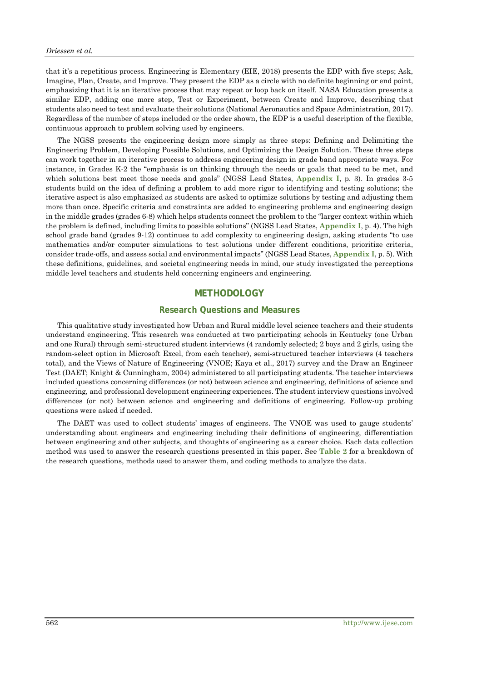that it's a repetitious process. Engineering is Elementary (EIE, 2018) presents the EDP with five steps; Ask, Imagine, Plan, Create, and Improve. They present the EDP as a circle with no definite beginning or end point, emphasizing that it is an iterative process that may repeat or loop back on itself. NASA Education presents a similar EDP, adding one more step, Test or Experiment, between Create and Improve, describing that students also need to test and evaluate their solutions (National Aeronautics and Space Administration, 2017). Regardless of the number of steps included or the order shown, the EDP is a useful description of the flexible, continuous approach to problem solving used by engineers.

The NGSS presents the engineering design more simply as three steps: Defining and Delimiting the Engineering Problem, Developing Possible Solutions, and Optimizing the Design Solution. These three steps can work together in an iterative process to address engineering design in grade band appropriate ways. For instance, in Grades K-2 the "emphasis is on thinking through the needs or goals that need to be met, and which solutions best meet those needs and goals" (NGSS Lead States, **Appendix I**, p. 3). In grades 3-5 students build on the idea of defining a problem to add more rigor to identifying and testing solutions; the iterative aspect is also emphasized as students are asked to optimize solutions by testing and adjusting them more than once. Specific criteria and constraints are added to engineering problems and engineering design in the middle grades (grades 6-8) which helps students connect the problem to the "larger context within which the problem is defined, including limits to possible solutions" (NGSS Lead States, **Appendix I**, p. 4). The high school grade band (grades 9-12) continues to add complexity to engineering design, asking students "to use mathematics and/or computer simulations to test solutions under different conditions, prioritize criteria, consider trade-offs, and assess social and environmental impacts" (NGSS Lead States, **Appendix I**, p. 5). With these definitions, guidelines, and societal engineering needs in mind, our study investigated the perceptions middle level teachers and students held concerning engineers and engineering.

# **METHODOLOGY**

#### **Research Questions and Measures**

This qualitative study investigated how Urban and Rural middle level science teachers and their students understand engineering. This research was conducted at two participating schools in Kentucky (one Urban and one Rural) through semi-structured student interviews (4 randomly selected; 2 boys and 2 girls, using the random-select option in Microsoft Excel, from each teacher), semi-structured teacher interviews (4 teachers total), and the Views of Nature of Engineering (VNOE; Kaya et al., 2017) survey and the Draw an Engineer Test (DAET; Knight & Cunningham, 2004) administered to all participating students. The teacher interviews included questions concerning differences (or not) between science and engineering, definitions of science and engineering, and professional development engineering experiences. The student interview questions involved differences (or not) between science and engineering and definitions of engineering. Follow-up probing questions were asked if needed.

The DAET was used to collect students' images of engineers. The VNOE was used to gauge students' understanding about engineers and engineering including their definitions of engineering, differentiation between engineering and other subjects, and thoughts of engineering as a career choice. Each data collection method was used to answer the research questions presented in this paper. See **Table 2** for a breakdown of the research questions, methods used to answer them, and coding methods to analyze the data.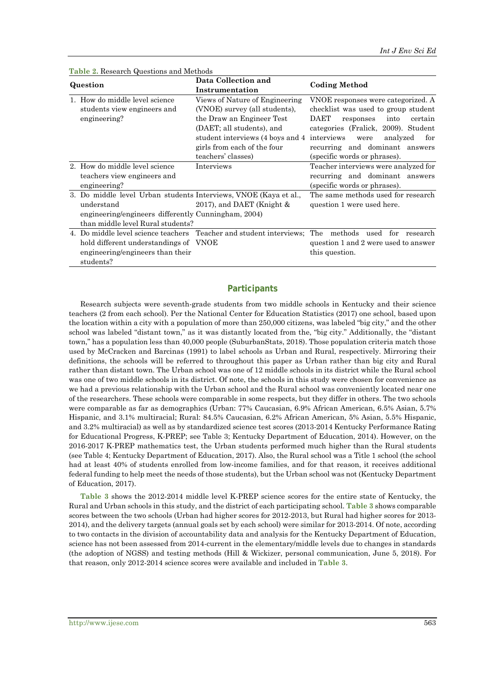| <b>Table 2.</b> Research Questions and Methods                                                                                                                             |                                                                                                                                                                                                                                |                                                                                                                                                                                                                                                       |  |  |  |
|----------------------------------------------------------------------------------------------------------------------------------------------------------------------------|--------------------------------------------------------------------------------------------------------------------------------------------------------------------------------------------------------------------------------|-------------------------------------------------------------------------------------------------------------------------------------------------------------------------------------------------------------------------------------------------------|--|--|--|
| Question                                                                                                                                                                   | Data Collection and<br>Instrumentation                                                                                                                                                                                         | <b>Coding Method</b>                                                                                                                                                                                                                                  |  |  |  |
| How do middle level science<br>students view engineers and<br>engineering?                                                                                                 | Views of Nature of Engineering<br>(VNOE) survey (all students),<br>the Draw an Engineer Test<br>(DAET; all students), and<br>student interviews (4 boys and 4 interviews)<br>girls from each of the four<br>teachers' classes) | VNOE responses were categorized. A<br>checklist was used to group student<br>DAET<br>certain<br>responses<br>into<br>categories (Fralick, 2009). Student<br>analyzed<br>for<br>were<br>recurring and dominant answers<br>(specific words or phrases). |  |  |  |
| 2. How do middle level science<br>teachers view engineers and<br>engineering?                                                                                              | Interviews                                                                                                                                                                                                                     | Teacher interviews were analyzed for<br>recurring and dominant answers<br>(specific words or phrases).                                                                                                                                                |  |  |  |
| 3. Do middle level Urban students Interviews, VNOE (Kaya et al.,<br>understand<br>engineering/engineers differently Cunningham, 2004)<br>than middle level Rural students? | 2017), and DAET (Knight $\&$                                                                                                                                                                                                   | The same methods used for research<br>question 1 were used here.                                                                                                                                                                                      |  |  |  |
| hold different understandings of VNOE<br>engineering/engineers than their<br>students?                                                                                     |                                                                                                                                                                                                                                | 4. Do middle level science teachers Teacher and student interviews; The methods used for research<br>question 1 and 2 were used to answer<br>this question.                                                                                           |  |  |  |

### **Participants**

Research subjects were seventh-grade students from two middle schools in Kentucky and their science teachers (2 from each school). Per the National Center for Education Statistics (2017) one school, based upon the location within a city with a population of more than 250,000 citizens, was labeled "big city," and the other school was labeled "distant town," as it was distantly located from the, "big city." Additionally, the "distant town," has a population less than 40,000 people (SuburbanStats, 2018). Those population criteria match those used by McCracken and Barcinas (1991) to label schools as Urban and Rural, respectively. Mirroring their definitions, the schools will be referred to throughout this paper as Urban rather than big city and Rural rather than distant town. The Urban school was one of 12 middle schools in its district while the Rural school was one of two middle schools in its district. Of note, the schools in this study were chosen for convenience as we had a previous relationship with the Urban school and the Rural school was conveniently located near one of the researchers. These schools were comparable in some respects, but they differ in others. The two schools were comparable as far as demographics (Urban: 77% Caucasian, 6.9% African American, 6.5% Asian, 5.7% Hispanic, and 3.1% multiracial; Rural: 84.5% Caucasian, 6.2% African American, 5% Asian, 5.5% Hispanic, and 3.2% multiracial) as well as by standardized science test scores (2013-2014 Kentucky Performance Rating for Educational Progress, K-PREP; see Table 3; Kentucky Department of Education, 2014). However, on the 2016-2017 K-PREP mathematics test, the Urban students performed much higher than the Rural students (see Table 4; Kentucky Department of Education, 2017). Also, the Rural school was a Title 1 school (the school had at least 40% of students enrolled from low-income families, and for that reason, it receives additional federal funding to help meet the needs of those students), but the Urban school was not (Kentucky Department of Education, 2017).

**Table 3** shows the 2012-2014 middle level K-PREP science scores for the entire state of Kentucky, the Rural and Urban schools in this study, and the district of each participating school. **Table 3** shows comparable scores between the two schools (Urban had higher scores for 2012-2013, but Rural had higher scores for 2013- 2014), and the delivery targets (annual goals set by each school) were similar for 2013-2014. Of note, according to two contacts in the division of accountability data and analysis for the Kentucky Department of Education, science has not been assessed from 2014-current in the elementary/middle levels due to changes in standards (the adoption of NGSS) and testing methods (Hill & Wickizer, personal communication, June 5, 2018). For that reason, only 2012-2014 science scores were available and included in **Table 3**.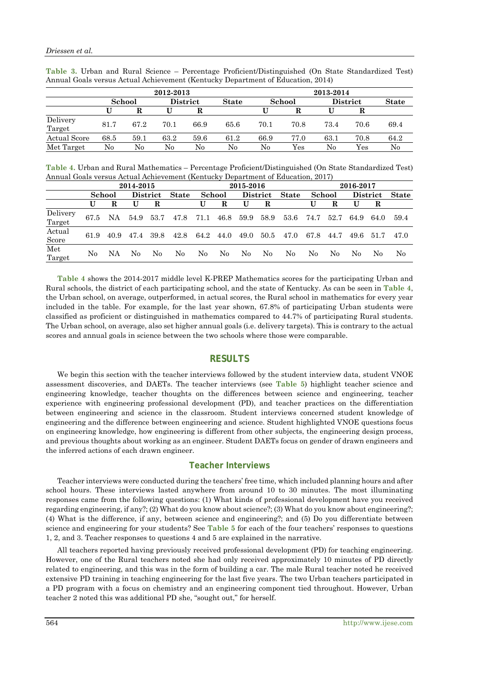|                     |        | 2012-2013 |                 |      |              |        | 2013-2014 |                 |      |              |
|---------------------|--------|-----------|-----------------|------|--------------|--------|-----------|-----------------|------|--------------|
|                     | School |           | <b>District</b> |      | <b>State</b> | School |           | <b>District</b> |      | <b>State</b> |
|                     |        | R         |                 | R    |              |        |           |                 |      |              |
| Delivery<br>Target  | 81.7   | 67.2      | 70.1            | 66.9 | 65.6         | 70.1   | 70.8      | 73.4            | 70.6 | 69.4         |
| <b>Actual Score</b> | 68.5   | 59.1      | 63.2            | 59.6 | 61.2         | 66.9   | 77.0      | 63.1            | 70.8 | 64.2         |
| Met Target          | No     | No        | No              | No   | No           | No     | $\rm Yes$ | No              | Yes  | No           |

**Table 3.** Urban and Rural Science – Percentage Proficient/Distinguished (On State Standardized Test) Annual Goals versus Actual Achievement (Kentucky Department of Education, 2014)

**Table 4.** Urban and Rural Mathematics – Percentage Proficient/Distinguished (On State Standardized Test) Annual Goals versus Actual Achievement (Kentucky Department of Education, 2017)

|                    | 2014-2015 |      |                 |      |      |              | 2015-2016 |      |                 |      | 2016-2017    |        |      |                 |      |              |
|--------------------|-----------|------|-----------------|------|------|--------------|-----------|------|-----------------|------|--------------|--------|------|-----------------|------|--------------|
|                    | School    |      | <b>District</b> |      |      | <b>State</b> | School    |      | <b>District</b> |      | <b>State</b> | School |      | <b>District</b> |      | <b>State</b> |
|                    |           | R    | U               | R    |      | U            | R         | U    | R               |      | U            | R      | U    | R               |      |              |
| Delivery<br>Target | 67.5      | NA.  | 54.9            | 53.7 | 47.8 | 71.1         | 46.8      | 59.9 | 58.9            | 53.6 | 74.7         | 52.7   | 64.9 | 64.0            | 59.4 |              |
| Actual<br>Score    | 61.9      | 40.9 | 47.4            | 39.8 | 42.8 | 64.2         | 44.0      | 49.0 | 50.5            | 47.0 | 67.8         | 44.7   | 49.6 | 51.7            | 47.0 |              |
| Met<br>Target      | No        | NА   | No              | No   | No   | No           | No        | No   | No              | No   | No           | No     | No.  | No              | No   |              |

**Table 4** shows the 2014-2017 middle level K-PREP Mathematics scores for the participating Urban and Rural schools, the district of each participating school, and the state of Kentucky. As can be seen in **Table 4**, the Urban school, on average, outperformed, in actual scores, the Rural school in mathematics for every year included in the table. For example, for the last year shown, 67.8% of participating Urban students were classified as proficient or distinguished in mathematics compared to 44.7% of participating Rural students. The Urban school, on average, also set higher annual goals (i.e. delivery targets). This is contrary to the actual scores and annual goals in science between the two schools where those were comparable.

## **RESULTS**

We begin this section with the teacher interviews followed by the student interview data, student VNOE assessment discoveries, and DAETs. The teacher interviews (see **Table 5**) highlight teacher science and engineering knowledge, teacher thoughts on the differences between science and engineering, teacher experience with engineering professional development (PD), and teacher practices on the differentiation between engineering and science in the classroom. Student interviews concerned student knowledge of engineering and the difference between engineering and science. Student highlighted VNOE questions focus on engineering knowledge, how engineering is different from other subjects, the engineering design process, and previous thoughts about working as an engineer. Student DAETs focus on gender of drawn engineers and the inferred actions of each drawn engineer.

#### **Teacher Interviews**

Teacher interviews were conducted during the teachers' free time, which included planning hours and after school hours. These interviews lasted anywhere from around 10 to 30 minutes. The most illuminating responses came from the following questions: (1) What kinds of professional development have you received regarding engineering, if any?; (2) What do you know about science?; (3) What do you know about engineering?; (4) What is the difference, if any, between science and engineering?; and (5) Do you differentiate between science and engineering for your students? See **Table 5** for each of the four teachers' responses to questions 1, 2, and 3. Teacher responses to questions 4 and 5 are explained in the narrative.

All teachers reported having previously received professional development (PD) for teaching engineering. However, one of the Rural teachers noted she had only received approximately 10 minutes of PD directly related to engineering, and this was in the form of building a car. The male Rural teacher noted he received extensive PD training in teaching engineering for the last five years. The two Urban teachers participated in a PD program with a focus on chemistry and an engineering component tied throughout. However, Urban teacher 2 noted this was additional PD she, "sought out," for herself.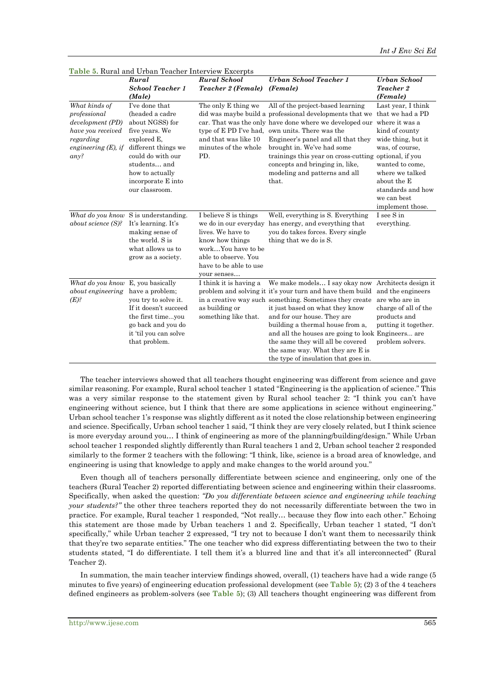|                                                                                                                       | Rural                                                                                                                                                                                                        | <b>Rural School</b>                                                                                                                                                           | Urban School Teacher 1                                                                                                                                                                                                                                                                                                                                                                                                                                  | Urban School                                                                                                                                                                                                                     |
|-----------------------------------------------------------------------------------------------------------------------|--------------------------------------------------------------------------------------------------------------------------------------------------------------------------------------------------------------|-------------------------------------------------------------------------------------------------------------------------------------------------------------------------------|---------------------------------------------------------------------------------------------------------------------------------------------------------------------------------------------------------------------------------------------------------------------------------------------------------------------------------------------------------------------------------------------------------------------------------------------------------|----------------------------------------------------------------------------------------------------------------------------------------------------------------------------------------------------------------------------------|
|                                                                                                                       | <b>School Teacher 1</b>                                                                                                                                                                                      | Teacher 2 (Female)                                                                                                                                                            | (Female)                                                                                                                                                                                                                                                                                                                                                                                                                                                | <b>Teacher 2</b>                                                                                                                                                                                                                 |
|                                                                                                                       | (Male)                                                                                                                                                                                                       |                                                                                                                                                                               |                                                                                                                                                                                                                                                                                                                                                                                                                                                         | (Female)                                                                                                                                                                                                                         |
| What kinds of<br>professional<br>development (PD)<br>have you received<br>regarding<br>engineering $(E)$ , if<br>any? | I've done that<br>(headed a cadre<br>about NGSS) for<br>five years. We<br>explored E,<br>different things we<br>could do with our<br>students and<br>how to actually<br>incorporate E into<br>our classroom. | The only E thing we<br>type of E PD I've had,<br>and that was like 10<br>minutes of the whole<br>PD.                                                                          | All of the project-based learning<br>did was maybe build a professional developments that we<br>car. That was the only have done where we developed our<br>own units. There was the<br>Engineer's panel and all that they<br>brought in. We've had some<br>trainings this year on cross-cutting optional, if you<br>concepts and bringing in, like,<br>modeling and patterns and all<br>that.                                                           | Last year, I think<br>that we had a PD<br>where it was a<br>kind of county<br>wide thing, but it<br>was, of course,<br>wanted to come.<br>where we talked<br>about the E<br>standards and how<br>we can best<br>implement those. |
| about science (S)?                                                                                                    | What do you know S is understanding.<br>It's learning. It's<br>making sense of<br>the world. S is<br>what allows us to<br>grow as a society.                                                                 | I believe S is things<br>we do in our everyday<br>lives. We have to<br>know how things<br>workYou have to be<br>able to observe. You<br>have to be able to use<br>your senses | Well, everything is S. Everything<br>has energy, and everything that<br>you do takes forces. Every single<br>thing that we do is S.                                                                                                                                                                                                                                                                                                                     | I see S in<br>everything.                                                                                                                                                                                                        |
| What do you know E, you basically<br>about engineering<br>$(E)$ ?                                                     | have a problem;<br>you try to solve it.<br>If it doesn't succeed<br>the first timeyou<br>go back and you do<br>it 'til you can solve<br>that problem.                                                        | I think it is having a<br>as building or<br>something like that.                                                                                                              | We make models I say okay now Architects design it<br>problem and solving it it's your turn and have them build<br>in a creative way such something. Sometimes they create<br>it just based on what they know<br>and for our house. They are<br>building a thermal house from a,<br>and all the houses are going to look Engineers are<br>the same they will all be covered<br>the same way. What they are E is<br>the type of insulation that goes in. | and the engineers<br>are who are in<br>charge of all of the<br>products and<br>putting it together.<br>problem solvers.                                                                                                          |

**Table 5.** Rural and Urban Teacher Interview Excerpts

The teacher interviews showed that all teachers thought engineering was different from science and gave similar reasoning. For example, Rural school teacher 1 stated "Engineering is the application of science." This was a very similar response to the statement given by Rural school teacher 2: "I think you can't have engineering without science, but I think that there are some applications in science without engineering." Urban school teacher 1's response was slightly different as it noted the close relationship between engineering and science. Specifically, Urban school teacher 1 said, "I think they are very closely related, but I think science is more everyday around you… I think of engineering as more of the planning/building/design." While Urban school teacher 1 responded slightly differently than Rural teachers 1 and 2, Urban school teacher 2 responded similarly to the former 2 teachers with the following: "I think, like, science is a broad area of knowledge, and engineering is using that knowledge to apply and make changes to the world around you."

Even though all of teachers personally differentiate between science and engineering, only one of the teachers (Rural Teacher 2) reported differentiating between science and engineering within their classrooms. Specifically, when asked the question: *"Do you differentiate between science and engineering while teaching your students?"* the other three teachers reported they do not necessarily differentiate between the two in practice. For example, Rural teacher 1 responded, "Not really… because they flow into each other." Echoing this statement are those made by Urban teachers 1 and 2. Specifically, Urban teacher 1 stated, "I don't specifically," while Urban teacher 2 expressed, "I try not to because I don't want them to necessarily think that they're two separate entities." The one teacher who did express differentiating between the two to their students stated, "I do differentiate. I tell them it's a blurred line and that it's all interconnected" (Rural Teacher 2).

In summation, the main teacher interview findings showed, overall, (1) teachers have had a wide range (5 minutes to five years) of engineering education professional development (see **Table 5**); (2) 3 of the 4 teachers defined engineers as problem-solvers (see **Table 5**); (3) All teachers thought engineering was different from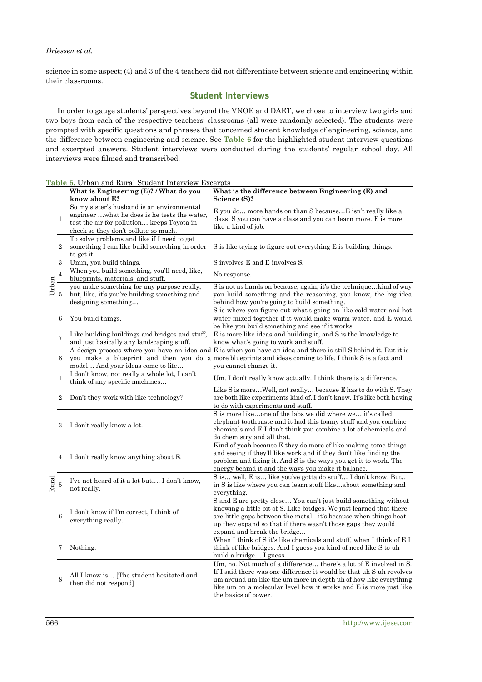science in some aspect; (4) and 3 of the 4 teachers did not differentiate between science and engineering within their classrooms.

## **Student Interviews**

In order to gauge students' perspectives beyond the VNOE and DAET, we chose to interview two girls and two boys from each of the respective teachers' classrooms (all were randomly selected). The students were prompted with specific questions and phrases that concerned student knowledge of engineering, science, and the difference between engineering and science. See **Table 6** for the highlighted student interview questions and excerpted answers. Student interviews were conducted during the students' regular school day. All interviews were filmed and transcribed.

| Table 6. Urban and Rural Student Interview Excerpts |  |  |
|-----------------------------------------------------|--|--|
|-----------------------------------------------------|--|--|

|       |                         | What is Engineering (E)? / What do you<br>know about E?                                                                                                                         | What is the difference between Engineering (E) and<br>Science (S)?                                                                                                                                                                                                                                          |
|-------|-------------------------|---------------------------------------------------------------------------------------------------------------------------------------------------------------------------------|-------------------------------------------------------------------------------------------------------------------------------------------------------------------------------------------------------------------------------------------------------------------------------------------------------------|
|       | 1                       | So my sister's husband is an environmental<br>engineerwhat he does is he tests the water,<br>test the air for pollution keeps Toyota in<br>check so they don't pollute so much. | E you do more hands on than S becauseE isn't really like a<br>class. S you can have a class and you can learn more. E is more<br>like a kind of job.                                                                                                                                                        |
|       | $\,2$                   | To solve problems and like if I need to get<br>something I can like build something in order<br>to get it.                                                                      | S is like trying to figure out everything E is building things.                                                                                                                                                                                                                                             |
|       | $\boldsymbol{3}$        | Umm, you build things.                                                                                                                                                          | S involves E and E involves S.                                                                                                                                                                                                                                                                              |
|       | $\overline{\mathbf{4}}$ | When you build something, you'll need, like,<br>blueprints, materials, and stuff.                                                                                               | No response.                                                                                                                                                                                                                                                                                                |
| Urban | $\overline{5}$          | you make something for any purpose really,<br>but, like, it's you're building something and<br>designing something                                                              | S is not as hands on because, again, it's the techniquekind of way<br>you build something and the reasoning, you know, the big idea<br>behind how you're going to build something.                                                                                                                          |
|       | 6                       | You build things.                                                                                                                                                               | S is where you figure out what's going on like cold water and hot<br>water mixed together if it would make warm water, and E would<br>be like you build something and see if it works.                                                                                                                      |
|       |                         | Like building buildings and bridges and stuff,<br>and just basically any landscaping stuff.                                                                                     | E is more like ideas and building it, and S is the knowledge to<br>know what's going to work and stuff.                                                                                                                                                                                                     |
|       | 8                       | model And your ideas come to life                                                                                                                                               | A design process where you have an idea and E is when you have an idea and there is still S behind it. But it is<br>you make a blueprint and then you do a more blueprints and ideas coming to life. I think S is a fact and<br>you cannot change it.                                                       |
|       | 1                       | I don't know, not really a whole lot, I can't<br>think of any specific machines                                                                                                 | Um. I don't really know actually. I think there is a difference.                                                                                                                                                                                                                                            |
|       | $\overline{2}$          | Don't they work with like technology?                                                                                                                                           | Like S is moreWell, not really because E has to do with S. They<br>are both like experiments kind of. I don't know. It's like both having<br>to do with experiments and stuff.                                                                                                                              |
|       | 3                       | I don't really know a lot.                                                                                                                                                      | S is more likeone of the labs we did where we it's called<br>elephant toothpaste and it had this foamy stuff and you combine<br>chemicals and E I don't think you combine a lot of chemicals and<br>do chemistry and all that.                                                                              |
|       | 4                       | I don't really know anything about E.                                                                                                                                           | Kind of yeah because E they do more of like making some things<br>and seeing if they'll like work and if they don't like finding the<br>problem and fixing it. And S is the ways you get it to work. The<br>energy behind it and the ways you make it balance.                                              |
| Rural | 5                       | I've not heard of it a lot but, I don't know,<br>not really.                                                                                                                    | S is well, E is like you've gotta do stuff I don't know. But<br>in S is like where you can learn stuff likeabout something and<br>everything.                                                                                                                                                               |
|       | 6                       | I don't know if I'm correct, I think of<br>everything really.                                                                                                                   | S and E are pretty close You can't just build something without<br>knowing a little bit of S. Like bridges. We just learned that there<br>are little gaps between the metal-it's because when things heat<br>up they expand so that if there wasn't those gaps they would<br>expand and break the bridge    |
|       |                         | Nothing.                                                                                                                                                                        | When I think of S it's like chemicals and stuff, when I think of E I<br>think of like bridges. And I guess you kind of need like S to uh<br>build a bridge I guess.                                                                                                                                         |
|       | 8                       | All I know is [The student hesitated and<br>then did not respond]                                                                                                               | Um, no. Not much of a difference there's a lot of E involved in S.<br>If I said there was one difference it would be that uh S uh revolves<br>um around um like the um more in depth uh of how like everything<br>like um on a molecular level how it works and E is more just like<br>the basics of power. |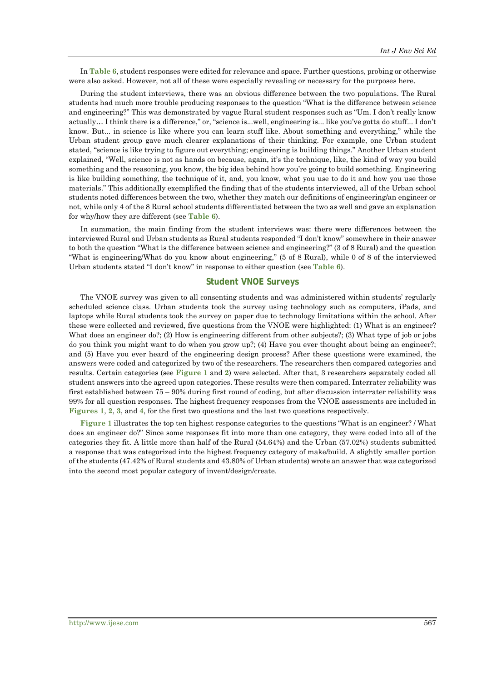In **Table 6**, student responses were edited for relevance and space. Further questions, probing or otherwise were also asked. However, not all of these were especially revealing or necessary for the purposes here.

During the student interviews, there was an obvious difference between the two populations. The Rural students had much more trouble producing responses to the question "What is the difference between science and engineering?" This was demonstrated by vague Rural student responses such as "Um. I don't really know actually… I think there is a difference," or, "science is...well, engineering is... like you've gotta do stuff... I don't know. But... in science is like where you can learn stuff like. About something and everything," while the Urban student group gave much clearer explanations of their thinking. For example, one Urban student stated, "science is like trying to figure out everything; engineering is building things." Another Urban student explained, "Well, science is not as hands on because, again, it's the technique, like, the kind of way you build something and the reasoning, you know, the big idea behind how you're going to build something. Engineering is like building something, the technique of it, and, you know, what you use to do it and how you use those materials." This additionally exemplified the finding that of the students interviewed, all of the Urban school students noted differences between the two, whether they match our definitions of engineering/an engineer or not, while only 4 of the 8 Rural school students differentiated between the two as well and gave an explanation for why/how they are different (see **Table 6**).

In summation, the main finding from the student interviews was: there were differences between the interviewed Rural and Urban students as Rural students responded "I don't know" somewhere in their answer to both the question "What is the difference between science and engineering?" (3 of 8 Rural) and the question "What is engineering/What do you know about engineering," (5 of 8 Rural), while 0 of 8 of the interviewed Urban students stated "I don't know" in response to either question (see **Table 6**).

#### **Student VNOE Surveys**

The VNOE survey was given to all consenting students and was administered within students' regularly scheduled science class. Urban students took the survey using technology such as computers, iPads, and laptops while Rural students took the survey on paper due to technology limitations within the school. After these were collected and reviewed, five questions from the VNOE were highlighted: (1) What is an engineer? What does an engineer do?; (2) How is engineering different from other subjects?; (3) What type of job or jobs do you think you might want to do when you grow up?; (4) Have you ever thought about being an engineer?; and (5) Have you ever heard of the engineering design process? After these questions were examined, the answers were coded and categorized by two of the researchers. The researchers then compared categories and results. Certain categories (see **Figure 1** and **2**) were selected. After that, 3 researchers separately coded all student answers into the agreed upon categories. These results were then compared. Interrater reliability was first established between 75 – 90% during first round of coding, but after discussion interrater reliability was 99% for all question responses. The highest frequency responses from the VNOE assessments are included in **Figures 1**, **2**, **3**, and **4**, for the first two questions and the last two questions respectively.

**Figure 1** illustrates the top ten highest response categories to the questions "What is an engineer? / What does an engineer do?" Since some responses fit into more than one category, they were coded into all of the categories they fit. A little more than half of the Rural (54.64%) and the Urban (57.02%) students submitted a response that was categorized into the highest frequency category of make/build. A slightly smaller portion of the students (47.42% of Rural students and 43.80% of Urban students) wrote an answer that was categorized into the second most popular category of invent/design/create.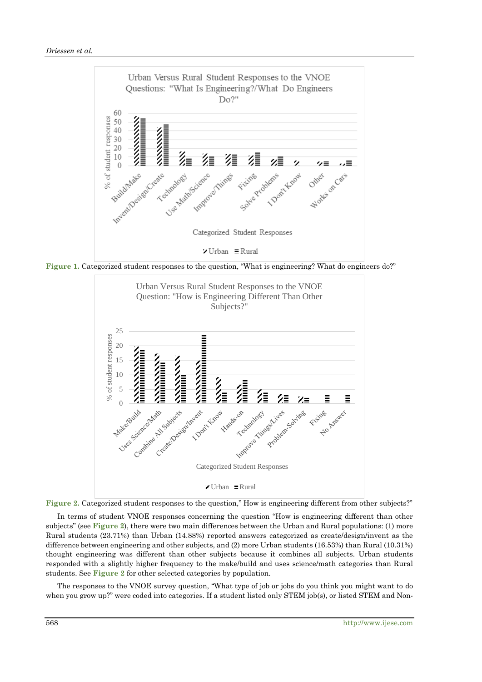

**Figure 1.** Categorized student responses to the question, "What is engineering? What do engineers do?"





In terms of student VNOE responses concerning the question "How is engineering different than other subjects" (see **Figure 2**), there were two main differences between the Urban and Rural populations: (1) more Rural students (23.71%) than Urban (14.88%) reported answers categorized as create/design/invent as the difference between engineering and other subjects, and (2) more Urban students (16.53%) than Rural (10.31%) thought engineering was different than other subjects because it combines all subjects. Urban students responded with a slightly higher frequency to the make/build and uses science/math categories than Rural students. See **Figure 2** for other selected categories by population.

The responses to the VNOE survey question, "What type of job or jobs do you think you might want to do when you grow up?" were coded into categories. If a student listed only STEM job(s), or listed STEM and Non-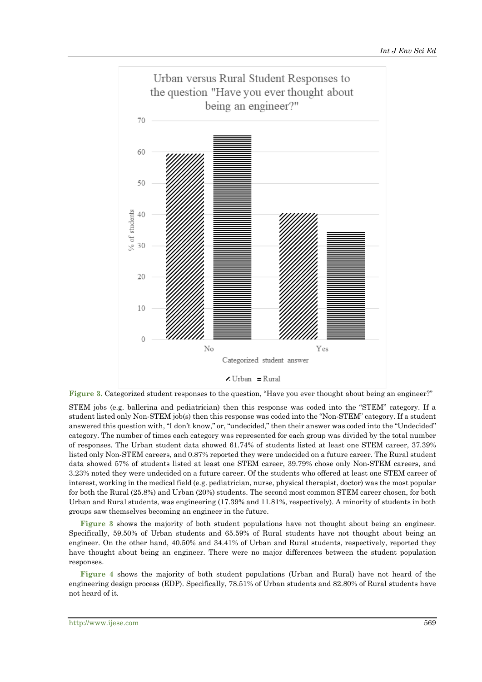

**Figure 3.** Categorized student responses to the question, "Have you ever thought about being an engineer?"

STEM jobs (e.g. ballerina and pediatrician) then this response was coded into the "STEM" category. If a student listed only Non-STEM job(s) then this response was coded into the "Non-STEM" category. If a student answered this question with, "I don't know," or, "undecided," then their answer was coded into the "Undecided" category. The number of times each category was represented for each group was divided by the total number of responses. The Urban student data showed 61.74% of students listed at least one STEM career, 37.39% listed only Non-STEM careers, and 0.87% reported they were undecided on a future career. The Rural student data showed 57% of students listed at least one STEM career, 39.79% chose only Non-STEM careers, and 3.23% noted they were undecided on a future career. Of the students who offered at least one STEM career of interest, working in the medical field (e.g. pediatrician, nurse, physical therapist, doctor) was the most popular for both the Rural (25.8%) and Urban (20%) students. The second most common STEM career chosen, for both Urban and Rural students, was engineering (17.39% and 11.81%, respectively). A minority of students in both groups saw themselves becoming an engineer in the future.

**Figure 3** shows the majority of both student populations have not thought about being an engineer. Specifically, 59.50% of Urban students and 65.59% of Rural students have not thought about being an engineer. On the other hand, 40.50% and 34.41% of Urban and Rural students, respectively, reported they have thought about being an engineer. There were no major differences between the student population responses.

**Figure 4** shows the majority of both student populations (Urban and Rural) have not heard of the engineering design process (EDP). Specifically, 78.51% of Urban students and 82.80% of Rural students have not heard of it.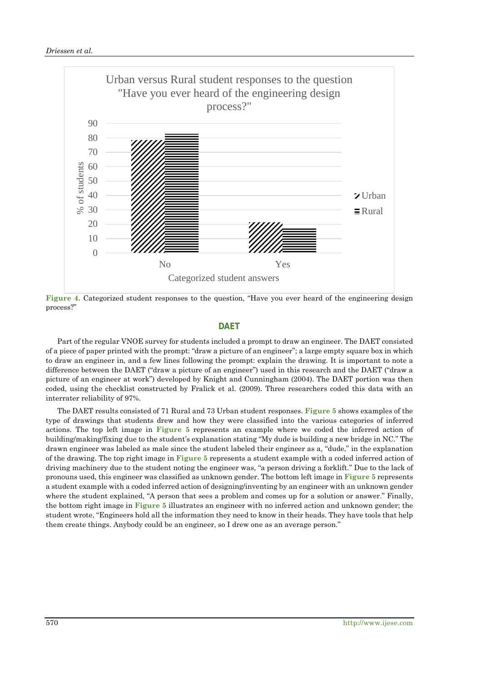

**Figure 4.** Categorized student responses to the question, "Have you ever heard of the engineering design process?"

### **DAET**

Part of the regular VNOE survey for students included a prompt to draw an engineer. The DAET consisted of a piece of paper printed with the prompt: "draw a picture of an engineer"; a large empty square box in which to draw an engineer in, and a few lines following the prompt: explain the drawing. It is important to note a difference between the DAET ("draw a picture of an engineer") used in this research and the DAET ("draw a picture of an engineer at work") developed by Knight and Cunningham (2004). The DAET portion was then coded, using the checklist constructed by Fralick et al. (2009). Three researchers coded this data with an interrater reliability of 97%.

The DAET results consisted of 71 Rural and 73 Urban student responses. **Figure 5** shows examples of the type of drawings that students drew and how they were classified into the various categories of inferred actions. The top left image in **Figure 5** represents an example where we coded the inferred action of building/making/fixing due to the student's explanation stating "My dude is building a new bridge in NC." The drawn engineer was labeled as male since the student labeled their engineer as a, "dude," in the explanation of the drawing. The top right image in **Figure 5** represents a student example with a coded inferred action of driving machinery due to the student noting the engineer was, "a person driving a forklift." Due to the lack of pronouns used, this engineer was classified as unknown gender. The bottom left image in **Figure 5** represents a student example with a coded inferred action of designing/inventing by an engineer with an unknown gender where the student explained, "A person that sees a problem and comes up for a solution or answer." Finally, the bottom right image in **Figure 5** illustrates an engineer with no inferred action and unknown gender; the student wrote, "Engineers hold all the information they need to know in their heads. They have tools that help them create things. Anybody could be an engineer, so I drew one as an average person."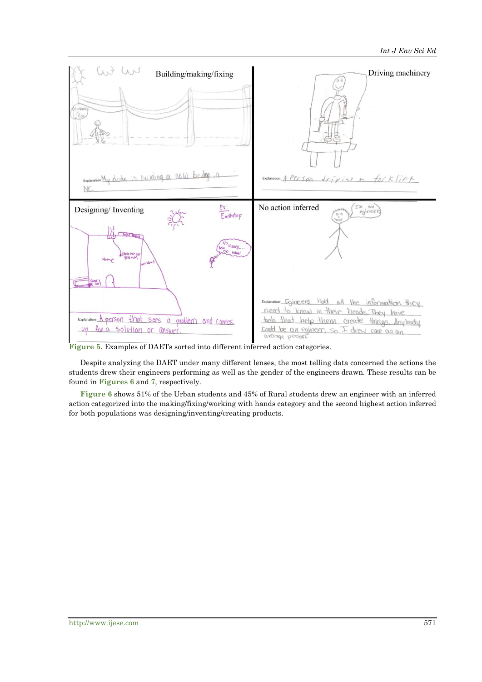

**Figure 5.** Examples of DAETs sorted into different inferred action categories.

Despite analyzing the DAET under many different lenses, the most telling data concerned the actions the students drew their engineers performing as well as the gender of the engineers drawn. These results can be found in **Figures 6** and **7**, respectively.

**Figure 6** shows 51% of the Urban students and 45% of Rural students drew an engineer with an inferred action categorized into the making/fixing/working with hands category and the second highest action inferred for both populations was designing/inventing/creating products.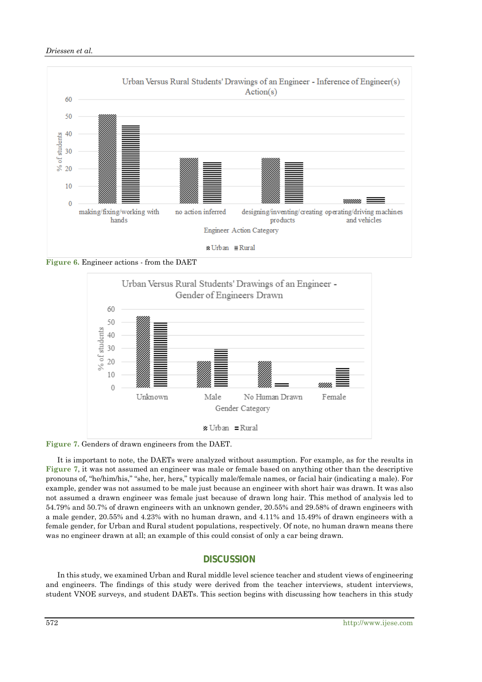### *Driessen et al.*



**Figure 6.** Engineer actions - from the DAET



**Figure 7.** Genders of drawn engineers from the DAET.

It is important to note, the DAETs were analyzed without assumption. For example, as for the results in **Figure 7**, it was not assumed an engineer was male or female based on anything other than the descriptive pronouns of, "he/him/his," "she, her, hers," typically male/female names, or facial hair (indicating a male). For example, gender was not assumed to be male just because an engineer with short hair was drawn. It was also not assumed a drawn engineer was female just because of drawn long hair. This method of analysis led to 54.79% and 50.7% of drawn engineers with an unknown gender, 20.55% and 29.58% of drawn engineers with a male gender, 20.55% and 4.23% with no human drawn, and 4.11% and 15.49% of drawn engineers with a female gender, for Urban and Rural student populations, respectively. Of note, no human drawn means there was no engineer drawn at all; an example of this could consist of only a car being drawn.

# **DISCUSSION**

In this study, we examined Urban and Rural middle level science teacher and student views of engineering and engineers. The findings of this study were derived from the teacher interviews, student interviews, student VNOE surveys, and student DAETs. This section begins with discussing how teachers in this study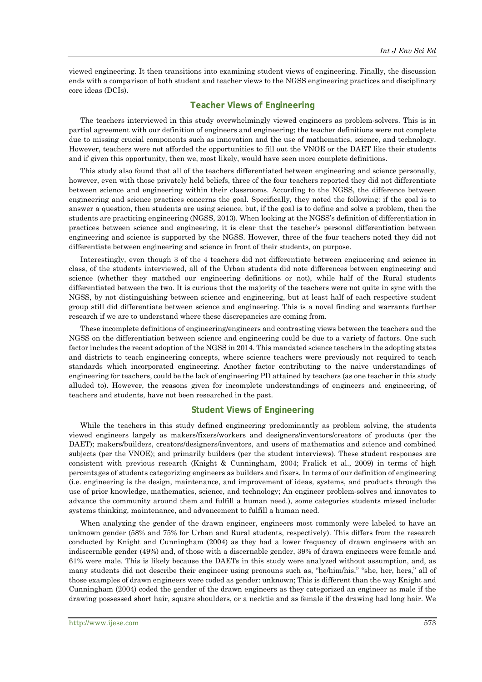viewed engineering. It then transitions into examining student views of engineering. Finally, the discussion ends with a comparison of both student and teacher views to the NGSS engineering practices and disciplinary core ideas (DCIs).

# **Teacher Views of Engineering**

The teachers interviewed in this study overwhelmingly viewed engineers as problem-solvers. This is in partial agreement with our definition of engineers and engineering; the teacher definitions were not complete due to missing crucial components such as innovation and the use of mathematics, science, and technology. However, teachers were not afforded the opportunities to fill out the VNOE or the DAET like their students and if given this opportunity, then we, most likely, would have seen more complete definitions.

This study also found that all of the teachers differentiated between engineering and science personally, however, even with those privately held beliefs, three of the four teachers reported they did not differentiate between science and engineering within their classrooms. According to the NGSS, the difference between engineering and science practices concerns the goal. Specifically, they noted the following: if the goal is to answer a question, then students are using science, but, if the goal is to define and solve a problem, then the students are practicing engineering (NGSS, 2013). When looking at the NGSS's definition of differentiation in practices between science and engineering, it is clear that the teacher's personal differentiation between engineering and science is supported by the NGSS. However, three of the four teachers noted they did not differentiate between engineering and science in front of their students, on purpose.

Interestingly, even though 3 of the 4 teachers did not differentiate between engineering and science in class, of the students interviewed, all of the Urban students did note differences between engineering and science (whether they matched our engineering definitions or not), while half of the Rural students differentiated between the two. It is curious that the majority of the teachers were not quite in sync with the NGSS, by not distinguishing between science and engineering, but at least half of each respective student group still did differentiate between science and engineering. This is a novel finding and warrants further research if we are to understand where these discrepancies are coming from.

These incomplete definitions of engineering/engineers and contrasting views between the teachers and the NGSS on the differentiation between science and engineering could be due to a variety of factors. One such factor includes the recent adoption of the NGSS in 2014. This mandated science teachers in the adopting states and districts to teach engineering concepts, where science teachers were previously not required to teach standards which incorporated engineering. Another factor contributing to the naive understandings of engineering for teachers, could be the lack of engineering PD attained by teachers (as one teacher in this study alluded to). However, the reasons given for incomplete understandings of engineers and engineering, of teachers and students, have not been researched in the past.

#### **Student Views of Engineering**

While the teachers in this study defined engineering predominantly as problem solving, the students viewed engineers largely as makers/fixers/workers and designers/inventors/creators of products (per the DAET); makers/builders, creators/designers/inventors, and users of mathematics and science and combined subjects (per the VNOE); and primarily builders (per the student interviews). These student responses are consistent with previous research (Knight & Cunningham, 2004; Fralick et al., 2009) in terms of high percentages of students categorizing engineers as builders and fixers. In terms of our definition of engineering (i.e. engineering is the design, maintenance, and improvement of ideas, systems, and products through the use of prior knowledge, mathematics, science, and technology; An engineer problem-solves and innovates to advance the community around them and fulfill a human need.), some categories students missed include: systems thinking, maintenance, and advancement to fulfill a human need.

When analyzing the gender of the drawn engineer, engineers most commonly were labeled to have an unknown gender (58% and 75% for Urban and Rural students, respectively). This differs from the research conducted by Knight and Cunningham (2004) as they had a lower frequency of drawn engineers with an indiscernible gender (49%) and, of those with a discernable gender, 39% of drawn engineers were female and 61% were male. This is likely because the DAETs in this study were analyzed without assumption, and, as many students did not describe their engineer using pronouns such as, "he/him/his," "she, her, hers," all of those examples of drawn engineers were coded as gender: unknown; This is different than the way Knight and Cunningham (2004) coded the gender of the drawn engineers as they categorized an engineer as male if the drawing possessed short hair, square shoulders, or a necktie and as female if the drawing had long hair. We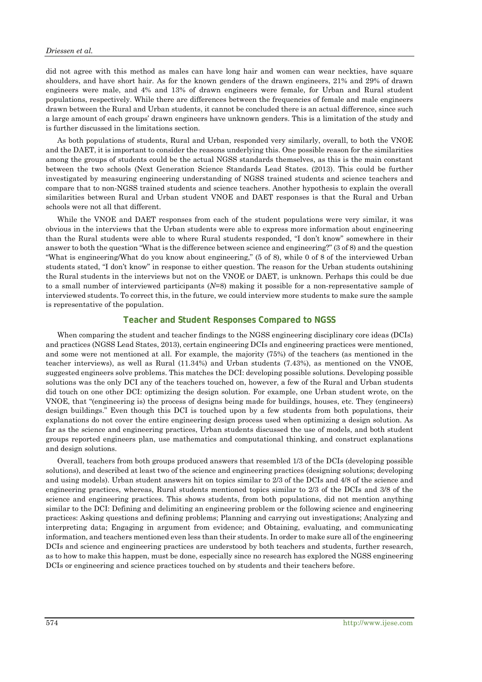did not agree with this method as males can have long hair and women can wear neckties, have square shoulders, and have short hair. As for the known genders of the drawn engineers, 21% and 29% of drawn engineers were male, and 4% and 13% of drawn engineers were female, for Urban and Rural student populations, respectively. While there are differences between the frequencies of female and male engineers drawn between the Rural and Urban students, it cannot be concluded there is an actual difference, since such a large amount of each groups' drawn engineers have unknown genders. This is a limitation of the study and is further discussed in the limitations section.

As both populations of students, Rural and Urban, responded very similarly, overall, to both the VNOE and the DAET, it is important to consider the reasons underlying this. One possible reason for the similarities among the groups of students could be the actual NGSS standards themselves, as this is the main constant between the two schools (Next Generation Science Standards Lead States. (2013). This could be further investigated by measuring engineering understanding of NGSS trained students and science teachers and compare that to non-NGSS trained students and science teachers. Another hypothesis to explain the overall similarities between Rural and Urban student VNOE and DAET responses is that the Rural and Urban schools were not all that different.

While the VNOE and DAET responses from each of the student populations were very similar, it was obvious in the interviews that the Urban students were able to express more information about engineering than the Rural students were able to where Rural students responded, "I don't know" somewhere in their answer to both the question "What is the difference between science and engineering?" (3 of 8) and the question "What is engineering/What do you know about engineering," (5 of 8), while 0 of 8 of the interviewed Urban students stated, "I don't know" in response to either question. The reason for the Urban students outshining the Rural students in the interviews but not on the VNOE or DAET, is unknown. Perhaps this could be due to a small number of interviewed participants (*N*=8) making it possible for a non-representative sample of interviewed students. To correct this, in the future, we could interview more students to make sure the sample is representative of the population.

### **Teacher and Student Responses Compared to NGSS**

When comparing the student and teacher findings to the NGSS engineering disciplinary core ideas (DCIs) and practices (NGSS Lead States, 2013), certain engineering DCIs and engineering practices were mentioned, and some were not mentioned at all. For example, the majority (75%) of the teachers (as mentioned in the teacher interviews), as well as Rural (11.34%) and Urban students (7.43%), as mentioned on the VNOE, suggested engineers solve problems. This matches the DCI: developing possible solutions. Developing possible solutions was the only DCI any of the teachers touched on, however, a few of the Rural and Urban students did touch on one other DCI: optimizing the design solution. For example, one Urban student wrote, on the VNOE, that "(engineering is) the process of designs being made for buildings, houses, etc. They (engineers) design buildings." Even though this DCI is touched upon by a few students from both populations, their explanations do not cover the entire engineering design process used when optimizing a design solution. As far as the science and engineering practices, Urban students discussed the use of models, and both student groups reported engineers plan, use mathematics and computational thinking, and construct explanations and design solutions.

Overall, teachers from both groups produced answers that resembled 1/3 of the DCIs (developing possible solutions), and described at least two of the science and engineering practices (designing solutions; developing and using models). Urban student answers hit on topics similar to 2/3 of the DCIs and 4/8 of the science and engineering practices, whereas, Rural students mentioned topics similar to 2/3 of the DCIs and 3/8 of the science and engineering practices. This shows students, from both populations, did not mention anything similar to the DCI: Defining and delimiting an engineering problem or the following science and engineering practices: Asking questions and defining problems; Planning and carrying out investigations; Analyzing and interpreting data; Engaging in argument from evidence; and Obtaining, evaluating, and communicating information, and teachers mentioned even less than their students. In order to make sure all of the engineering DCIs and science and engineering practices are understood by both teachers and students, further research, as to how to make this happen, must be done, especially since no research has explored the NGSS engineering DCIs or engineering and science practices touched on by students and their teachers before.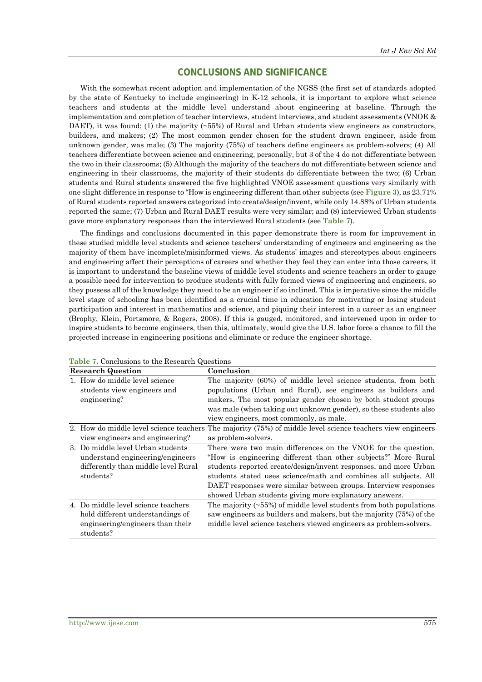# **CONCLUSIONS AND SIGNIFICANCE**

With the somewhat recent adoption and implementation of the NGSS (the first set of standards adopted by the state of Kentucky to include engineering) in K-12 schools, it is important to explore what science teachers and students at the middle level understand about engineering at baseline. Through the implementation and completion of teacher interviews, student interviews, and student assessments (VNOE & DAET), it was found: (1) the majority (~55%) of Rural and Urban students view engineers as constructors, builders, and makers; (2) The most common gender chosen for the student drawn engineer, aside from unknown gender, was male; (3) The majority (75%) of teachers define engineers as problem-solvers; (4) All teachers differentiate between science and engineering, personally, but 3 of the 4 do not differentiate between the two in their classrooms; (5) Although the majority of the teachers do not differentiate between science and engineering in their classrooms, the majority of their students do differentiate between the two; (6) Urban students and Rural students answered the five highlighted VNOE assessment questions very similarly with one slight difference in response to "How is engineering different than other subjects (see **Figure 3**), as 23.71% of Rural students reported answers categorized into create/design/invent, while only 14.88% of Urban students reported the same; (7) Urban and Rural DAET results were very similar; and (8) interviewed Urban students gave more explanatory responses than the interviewed Rural students (see **Table 7**).

The findings and conclusions documented in this paper demonstrate there is room for improvement in these studied middle level students and science teachers' understanding of engineers and engineering as the majority of them have incomplete/misinformed views. As students' images and stereotypes about engineers and engineering affect their perceptions of careers and whether they feel they can enter into those careers, it is important to understand the baseline views of middle level students and science teachers in order to gauge a possible need for intervention to produce students with fully formed views of engineering and engineers, so they possess all of the knowledge they need to be an engineer if so inclined. This is imperative since the middle level stage of schooling has been identified as a crucial time in education for motivating or losing student participation and interest in mathematics and science, and piquing their interest in a career as an engineer (Brophy, Klein, Portsmore, & Rogers, 2008). If this is gauged, monitored, and intervened upon in order to inspire students to become engineers, then this, ultimately, would give the U.S. labor force a chance to fill the projected increase in engineering positions and eliminate or reduce the engineer shortage.

| <b>Research Question</b>                                                                                                  | Conclusion                                                                                                                                                                                                                                                                                                                                                                                           |
|---------------------------------------------------------------------------------------------------------------------------|------------------------------------------------------------------------------------------------------------------------------------------------------------------------------------------------------------------------------------------------------------------------------------------------------------------------------------------------------------------------------------------------------|
| 1. How do middle level science<br>students view engineers and<br>engineering?                                             | The majority (60%) of middle level science students, from both<br>populations (Urban and Rural), see engineers as builders and<br>makers. The most popular gender chosen by both student groups<br>was male (when taking out unknown gender), so these students also<br>view engineers, most commonly, as male.                                                                                      |
| 2. How do middle level science teachers<br>view engineers and engineering?                                                | The majority (75%) of middle level science teachers view engineers<br>as problem-solvers.                                                                                                                                                                                                                                                                                                            |
| 3. Do middle level Urban students<br>understand engineering/engineers<br>differently than middle level Rural<br>students? | There were two main differences on the VNOE for the question,<br>"How is engineering different than other subjects?" More Rural<br>students reported create/design/invent responses, and more Urban<br>students stated uses science/math and combines all subjects. All<br>DAET responses were similar between groups. Interview responses<br>showed Urban students giving more explanatory answers. |
| 4. Do middle level science teachers<br>hold different understandings of<br>engineering/engineers than their<br>students?  | The majority $(\sim 55\%)$ of middle level students from both populations<br>saw engineers as builders and makers, but the majority (75%) of the<br>middle level science teachers viewed engineers as problem-solvers.                                                                                                                                                                               |

**Table 7.** Conclusions to the Research Questions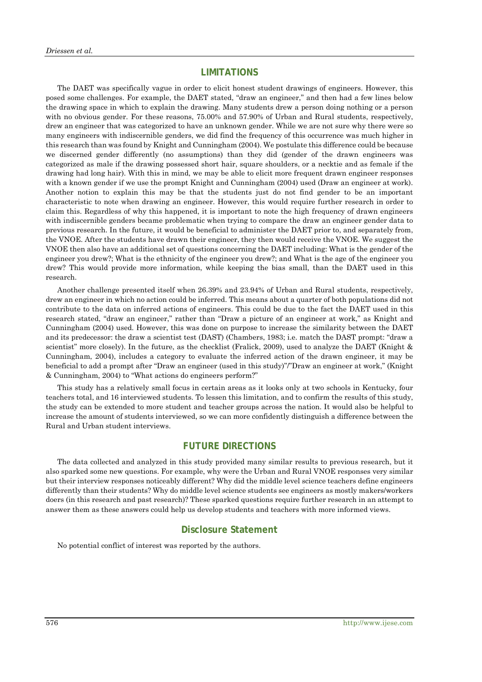## **LIMITATIONS**

The DAET was specifically vague in order to elicit honest student drawings of engineers. However, this posed some challenges. For example, the DAET stated, "draw an engineer," and then had a few lines below the drawing space in which to explain the drawing. Many students drew a person doing nothing or a person with no obvious gender. For these reasons, 75.00% and 57.90% of Urban and Rural students, respectively, drew an engineer that was categorized to have an unknown gender. While we are not sure why there were so many engineers with indiscernible genders, we did find the frequency of this occurrence was much higher in this research than was found by Knight and Cunningham (2004). We postulate this difference could be because we discerned gender differently (no assumptions) than they did (gender of the drawn engineers was categorized as male if the drawing possessed short hair, square shoulders, or a necktie and as female if the drawing had long hair). With this in mind, we may be able to elicit more frequent drawn engineer responses with a known gender if we use the prompt Knight and Cunningham (2004) used (Draw an engineer at work). Another notion to explain this may be that the students just do not find gender to be an important characteristic to note when drawing an engineer. However, this would require further research in order to claim this. Regardless of why this happened, it is important to note the high frequency of drawn engineers with indiscernible genders became problematic when trying to compare the draw an engineer gender data to previous research. In the future, it would be beneficial to administer the DAET prior to, and separately from, the VNOE. After the students have drawn their engineer, they then would receive the VNOE. We suggest the VNOE then also have an additional set of questions concerning the DAET including: What is the gender of the engineer you drew?; What is the ethnicity of the engineer you drew?; and What is the age of the engineer you drew? This would provide more information, while keeping the bias small, than the DAET used in this research.

Another challenge presented itself when 26.39% and 23.94% of Urban and Rural students, respectively, drew an engineer in which no action could be inferred. This means about a quarter of both populations did not contribute to the data on inferred actions of engineers. This could be due to the fact the DAET used in this research stated, "draw an engineer," rather than "Draw a picture of an engineer at work," as Knight and Cunningham (2004) used. However, this was done on purpose to increase the similarity between the DAET and its predecessor: the draw a scientist test (DAST) (Chambers, 1983; i.e. match the DAST prompt: "draw a scientist" more closely). In the future, as the checklist (Fralick, 2009), used to analyze the DAET (Knight & Cunningham, 2004), includes a category to evaluate the inferred action of the drawn engineer, it may be beneficial to add a prompt after "Draw an engineer (used in this study)"/"Draw an engineer at work," (Knight & Cunningham, 2004) to "What actions do engineers perform?"

This study has a relatively small focus in certain areas as it looks only at two schools in Kentucky, four teachers total, and 16 interviewed students. To lessen this limitation, and to confirm the results of this study, the study can be extended to more student and teacher groups across the nation. It would also be helpful to increase the amount of students interviewed, so we can more confidently distinguish a difference between the Rural and Urban student interviews.

# **FUTURE DIRECTIONS**

The data collected and analyzed in this study provided many similar results to previous research, but it also sparked some new questions. For example, why were the Urban and Rural VNOE responses very similar but their interview responses noticeably different? Why did the middle level science teachers define engineers differently than their students? Why do middle level science students see engineers as mostly makers/workers doers (in this research and past research)? These sparked questions require further research in an attempt to answer them as these answers could help us develop students and teachers with more informed views.

# **Disclosure Statement**

No potential conflict of interest was reported by the authors.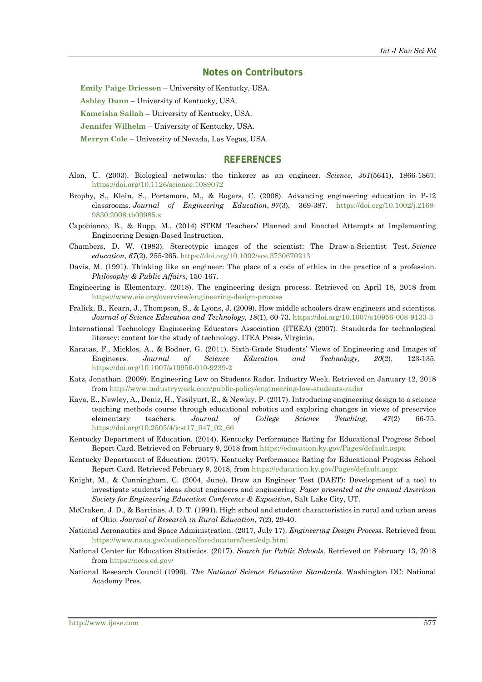#### **Notes on Contributors**

**Emily Paige Driessen** – University of Kentucky, USA.

**Ashley Dunn** – University of Kentucky, USA.

**Kameisha Sallah** – University of Kentucky, USA.

**Jennifer Wilhelm** – University of Kentucky, USA.

**Merryn Cole** – University of Nevada, Las Vegas, USA.

#### **REFERENCES**

- Alon, U. (2003). Biological networks: the tinkerer as an engineer. *Science, 301*(5641), 1866-1867. <https://doi.org/10.1126/science.1089072>
- Brophy, S., Klein, S., Portsmore, M., & Rogers, C. (2008). Advancing engineering education in P‐12 classrooms. *Journal of Engineering Education*, *97*(3), 369-387. [https://doi.org/10.1002/j.2168-](https://doi.org/10.1002/j.2168-9830.2008.tb00985.x) [9830.2008.tb00985.x](https://doi.org/10.1002/j.2168-9830.2008.tb00985.x)
- Capobianco, B., & Rupp, M., (2014) STEM Teachers' Planned and Enacted Attempts at Implementing Engineering Design-Based Instruction.
- Chambers, D. W. (1983). Stereotypic images of the scientist: The Draw‐a‐Scientist Test. *Science education*, *67*(2), 255-265. <https://doi.org/10.1002/sce.3730670213>
- Davis, M. (1991). Thinking like an engineer: The place of a code of ethics in the practice of a profession. *Philosophy & Public Affairs*, 150-167.
- Engineering is Elementary. (2018). The engineering design process. Retrieved on April 18, 2018 from <https://www.eie.org/overview/engineering-design-process>
- Fralick, B., Kearn, J., Thompson, S., & Lyons, J. (2009). How middle schoolers draw engineers and scientists. *Journal of Science Education and Technology, 18*(1), 60-73. <https://doi.org/10.1007/s10956-008-9133-3>
- International Technology Engineering Educators Association (ITEEA) (2007). Standards for technological literacy: content for the study of technology. ITEA Press, Virginia.
- Karatas, F., Micklos, A., & Bodner, G. (2011). Sixth-Grade Students' Views of Engineering and Images of Engineers. *Journal of Science Education and Technology, 20*(2), 123-135. <https://doi.org/10.1007/s10956-010-9239-2>
- Katz, Jonathan. (2009). Engineering Low on Students Radar. Industry Week. Retrieved on January 12, 2018 from<http://www.industryweek.com/public-policy/engineering-low-students-radar>
- Kaya, E., Newley, A., Deniz, H., Yesilyurt, E., & Newley, P. (2017). Introducing engineering design to a science teaching methods course through educational robotics and exploring changes in views of preservice elementary teachers. *Journal of College Science Teaching, 47*(2) 66-75. [https://doi.org/10.2505/4/jcst17\\_047\\_02\\_66](https://doi.org/10.2505/4/jcst17_047_02_66)
- Kentucky Department of Education. (2014). Kentucky Performance Rating for Educational Progress School Report Card. Retrieved on February 9, 2018 from<https://education.ky.gov/Pages/default.aspx>
- Kentucky Department of Education. (2017). Kentucky Performance Rating for Educational Progress School Report Card. Retrieved February 9, 2018, from <https://education.ky.gov/Pages/default.aspx>
- Knight, M., & Cunningham, C. (2004, June). Draw an Engineer Test (DAET): Development of a tool to investigate students' ideas about engineers and engineering. *Paper presented at the annual American Society for Engineering Education Conference & Exposition*, Salt Lake City, UT.
- McCraken, J. D., & Barcinas, J. D. T. (1991). High school and student characteristics in rural and urban areas of Ohio. *Journal of Research in Rural Education, 7*(2), 29-40.
- National Aeronautics and Space Administration. (2017, July 17). *Engineering Design Process*. Retrieved from <https://www.nasa.gov/audience/foreducators/best/edp.html>
- National Center for Education Statistics. (2017). *Search for Public Schools*. Retrieved on February 13, 2018 from <https://nces.ed.gov/>
- National Research Council (1996). *The National Science Education Standards*. Washington DC: National Academy Pres.